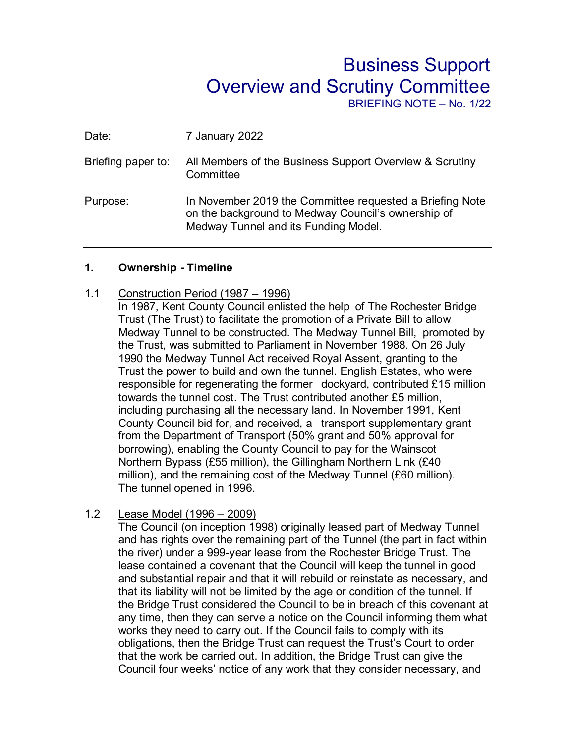# Business Support Overview and Scrutiny Committee

BRIEFING NOTE – No. 1/22

| Date:              | 7 January 2022                                                                                                                                         |
|--------------------|--------------------------------------------------------------------------------------------------------------------------------------------------------|
| Briefing paper to: | All Members of the Business Support Overview & Scrutiny<br>Committee                                                                                   |
| Purpose:           | In November 2019 the Committee requested a Briefing Note<br>on the background to Medway Council's ownership of<br>Medway Tunnel and its Funding Model. |

#### **1. Ownership - Timeline**

## 1.1 Construction Period (1987 – 1996)

In 1987, Kent County Council enlisted the help of The Rochester Bridge Trust (The Trust) to facilitate the promotion of a Private Bill to allow Medway Tunnel to be constructed. The Medway Tunnel Bill, promoted by the Trust, was submitted to Parliament in November 1988. On 26 July 1990 the Medway Tunnel Act received Royal Assent, granting to the Trust the power to build and own the tunnel. English Estates, who were responsible for regenerating the former dockyard, contributed £15 million towards the tunnel cost. The Trust contributed another £5 million, including purchasing all the necessary land. In November 1991, Kent County Council bid for, and received, a transport supplementary grant from the Department of Transport (50% grant and 50% approval for borrowing), enabling the County Council to pay for the Wainscot Northern Bypass (£55 million), the Gillingham Northern Link (£40 million), and the remaining cost of the Medway Tunnel (£60 million). The tunnel opened in 1996.

## 1.2 Lease Model (1996 – 2009)

The Council (on inception 1998) originally leased part of Medway Tunnel and has rights over the remaining part of the Tunnel (the part in fact within the river) under a 999-year lease from the Rochester Bridge Trust. The lease contained a covenant that the Council will keep the tunnel in good and substantial repair and that it will rebuild or reinstate as necessary, and that its liability will not be limited by the age or condition of the tunnel. If the Bridge Trust considered the Council to be in breach of this covenant at any time, then they can serve a notice on the Council informing them what works they need to carry out. If the Council fails to comply with its obligations, then the Bridge Trust can request the Trust's Court to order that the work be carried out. In addition, the Bridge Trust can give the Council four weeks' notice of any work that they consider necessary, and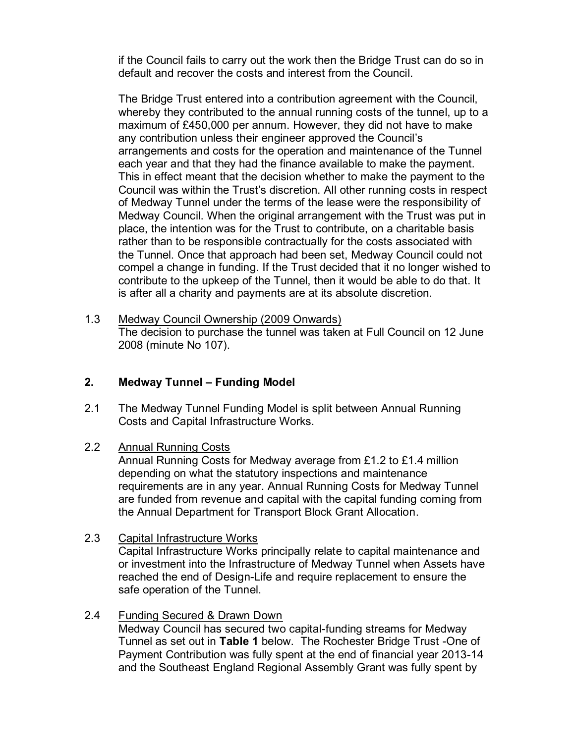if the Council fails to carry out the work then the Bridge Trust can do so in default and recover the costs and interest from the Council.

The Bridge Trust entered into a contribution agreement with the Council, whereby they contributed to the annual running costs of the tunnel, up to a maximum of £450,000 per annum. However, they did not have to make any contribution unless their engineer approved the Council's arrangements and costs for the operation and maintenance of the Tunnel each year and that they had the finance available to make the payment. This in effect meant that the decision whether to make the payment to the Council was within the Trust's discretion. All other running costs in respect of Medway Tunnel under the terms of the lease were the responsibility of Medway Council. When the original arrangement with the Trust was put in place, the intention was for the Trust to contribute, on a charitable basis rather than to be responsible contractually for the costs associated with the Tunnel. Once that approach had been set, Medway Council could not compel a change in funding. If the Trust decided that it no longer wished to contribute to the upkeep of the Tunnel, then it would be able to do that. It is after all a charity and payments are at its absolute discretion.

1.3 Medway Council Ownership (2009 Onwards) The decision to purchase the tunnel was taken at Full Council on 12 June 2008 (minute No 107).

## **2. Medway Tunnel – Funding Model**

- 2.1 The Medway Tunnel Funding Model is split between Annual Running Costs and Capital Infrastructure Works.
- 2.2 Annual Running Costs

Annual Running Costs for Medway average from £1.2 to £1.4 million depending on what the statutory inspections and maintenance requirements are in any year. Annual Running Costs for Medway Tunnel are funded from revenue and capital with the capital funding coming from the Annual Department for Transport Block Grant Allocation.

- 2.3 Capital Infrastructure Works Capital Infrastructure Works principally relate to capital maintenance and or investment into the Infrastructure of Medway Tunnel when Assets have reached the end of Design-Life and require replacement to ensure the safe operation of the Tunnel.
- 2.4 Funding Secured & Drawn Down

Medway Council has secured two capital-funding streams for Medway Tunnel as set out in **Table 1** below. The Rochester Bridge Trust -One of Payment Contribution was fully spent at the end of financial year 2013-14 and the Southeast England Regional Assembly Grant was fully spent by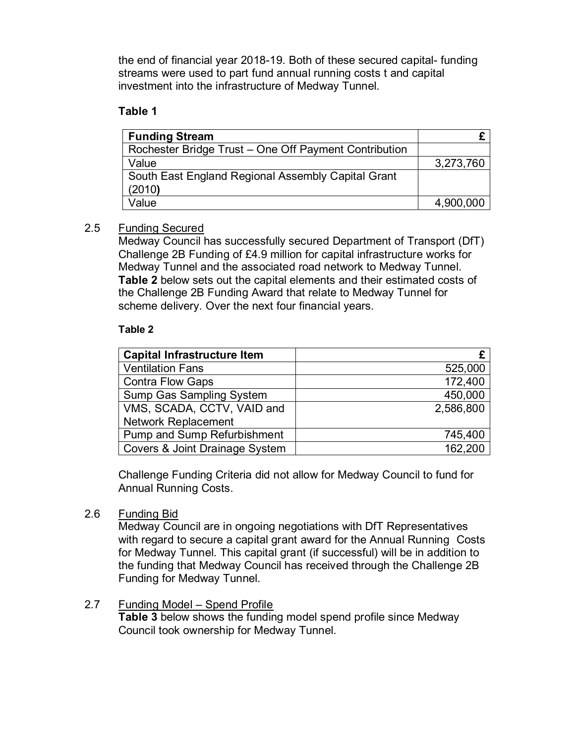the end of financial year 2018-19. Both of these secured capital- funding streams were used to part fund annual running costs t and capital investment into the infrastructure of Medway Tunnel.

## **Table 1**

| <b>Funding Stream</b>                                 |           |
|-------------------------------------------------------|-----------|
| Rochester Bridge Trust - One Off Payment Contribution |           |
| Value                                                 | 3,273,760 |
| South East England Regional Assembly Capital Grant    |           |
| (2010)                                                |           |
| Value                                                 | 4,900,000 |

## 2.5 Funding Secured

Medway Council has successfully secured Department of Transport (DfT) Challenge 2B Funding of £4.9 million for capital infrastructure works for Medway Tunnel and the associated road network to Medway Tunnel. **Table 2** below sets out the capital elements and their estimated costs of the Challenge 2B Funding Award that relate to Medway Tunnel for scheme delivery. Over the next four financial years.

## **Table 2**

| <b>Capital Infrastructure Item</b> |           |
|------------------------------------|-----------|
| <b>Ventilation Fans</b>            | 525,000   |
| <b>Contra Flow Gaps</b>            | 172,400   |
| <b>Sump Gas Sampling System</b>    | 450,000   |
| VMS, SCADA, CCTV, VAID and         | 2,586,800 |
| <b>Network Replacement</b>         |           |
| <b>Pump and Sump Refurbishment</b> | 745,400   |
| Covers & Joint Drainage System     | 162,200   |

Challenge Funding Criteria did not allow for Medway Council to fund for Annual Running Costs.

## 2.6 Funding Bid

Medway Council are in ongoing negotiations with DfT Representatives with regard to secure a capital grant award for the Annual Running Costs for Medway Tunnel. This capital grant (if successful) will be in addition to the funding that Medway Council has received through the Challenge 2B Funding for Medway Tunnel.

## 2.7 Funding Model - Spend Profile

**Table 3** below shows the funding model spend profile since Medway Council took ownership for Medway Tunnel.